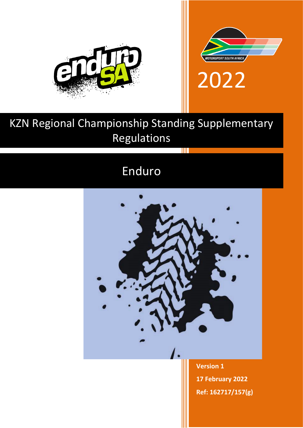

2022



# KZN Regional Championship Standing Supplementary Regulations

# Enduro



TIII

**Version 1 17 February 2022 Ref: 162717/157(g)**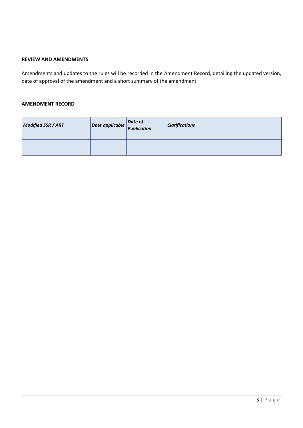# **REVIEW AND AMENDMENTS**

Amendments and updates to the rules will be recorded in the Amendment Record, detailing the updated version, date of approval of the amendment and a short summary of the amendment.

# **AMENDMENT RECORD**

| <b>Modified SSR / ART</b> | $\begin{array}{ l } \hline \textbf{Date applicable} & \textbf{Date of} \\ \hline \textbf{Publication} & \textbf{Publication} \\ \hline \end{array}$ | <b>Clarifications</b> |
|---------------------------|-----------------------------------------------------------------------------------------------------------------------------------------------------|-----------------------|
|                           |                                                                                                                                                     |                       |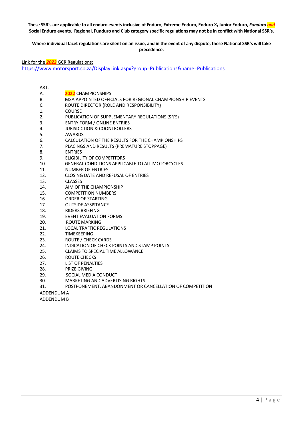**These SSR's are applicable to all enduro events inclusive of Enduro, Extreme Enduro, Enduro X, Junior Enduro,** *Funduro and* **Social Enduro events. Regional, Funduro and Club category specific regulations may not be in conflict with National SSR's.**

**Where individual facet regulations are silent on an issue, and in the event of any dispute, these National SSR's will take precedence.**

Link for the *2022* GCR Regulations:

<https://www.motorsport.co.za/DisplayLink.aspx?group=Publications&name=Publications>

| ART.       |                                                          |
|------------|----------------------------------------------------------|
| А.         | <b>2022</b> CHAMPIONSHIPS                                |
| <b>B.</b>  | MSA APPOINTED OFFICIALS FOR REGIONAL CHAMPIONSHIP EVENTS |
| C.         | ROUTE DIRECTOR (ROLE AND RESPONSIBILITY)                 |
| 1.         | <b>COURSE</b>                                            |
| 2.         | PUBLICATION OF SUPPLEMENTARY REGULATIONS (SR'S)          |
| 3.         | <b>ENTRY FORM / ONLINE ENTRIES</b>                       |
| 4.         | <b>JURISDICTION &amp; COONTROLLERS</b>                   |
| 5.         | <b>AWARDS</b>                                            |
| 6.         | CALCULATION OF THE RESULTS FOR THE CHAMPIONSHIPS         |
| 7.         | PLACINGS AND RESULTS (PREMATURE STOPPAGE)                |
| 8.         | <b>ENTRIES</b>                                           |
| 9.         | ELIGIBILITY OF COMPETITORS                               |
| 10.        | <b>GENERAL CONDITIONS APPLICABLE TO ALL MOTORCYCLES</b>  |
| 11.        | <b>NUMBER OF ENTRIES</b>                                 |
| 12.        | <b>CLOSING DATE AND REFUSAL OF ENTRIES</b>               |
| 13.        | <b>CLASSES</b>                                           |
| 14.        | AIM OF THE CHAMPIONSHIP                                  |
| 15.        | <b>COMPETITION NUMBERS</b>                               |
| 16.        | ORDER OF STARTING                                        |
| 17.        | <b>OUTSIDE ASSISTANCE</b>                                |
| 18.        | <b>RIDERS BRIEFING</b>                                   |
| 19.        | <b>EVENT EVALUATION FORMS</b>                            |
| 20.        | ROUTE MARKING                                            |
| 21.        | <b>LOCAL TRAFFIC REGULATIONS</b>                         |
| 22.        | <b>TIMEKEEPING</b>                                       |
| 23.        | ROUTE / CHECK CARDS                                      |
| 24.        | INDICATION OF CHECK POINTS AND STAMP POINTS              |
| 25.        | CLAIMS TO SPECIAL TIME ALLOWANCE                         |
| 26.        | <b>ROUTE CHECKS</b>                                      |
| 27.        | <b>LIST OF PENALTIES</b>                                 |
| 28.        | <b>PRIZE GIVING</b>                                      |
| 29.        | SOCIAL MEDIA CONDUCT                                     |
| 30.        | <b>MARKETING AND ADVERTISING RIGHTS</b>                  |
| 31.        | POSTPONEMENT, ABANDONMENT OR CANCELLATION OF COMPETITION |
| ADDENDUM A |                                                          |
|            |                                                          |

ADDENDUM B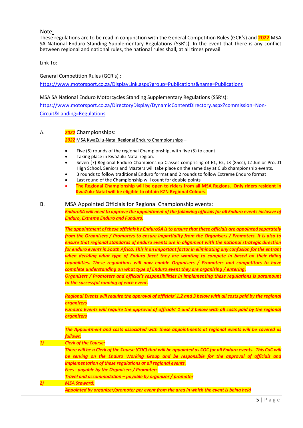# Note:

These regulations are to be read in conjunction with the General Competition Rules (GCR's) and **2022** MSA SA National Enduro Standing Supplementary Regulations (SSR's). In the event that there is any conflict between regional and national rules, the national rules shall, at all times prevail.

Link To:

General Competition Rules (GCR's) :

<https://www.motorsport.co.za/DisplayLink.aspx?group=Publications&name=Publications>

#### MSA SA National Enduro Motorcycles Standing Supplementary Regulations (SSR's):

[https://www.motorsport.co.za/DirectoryDisplay/DynamicContentDirectory.aspx?commission=Non-](https://www.motorsport.co.za/DirectoryDisplay/DynamicContentDirectory.aspx?commission=Non-Circuit&Landing=Regulations)[Circuit&Landing=Regulations](https://www.motorsport.co.za/DirectoryDisplay/DynamicContentDirectory.aspx?commission=Non-Circuit&Landing=Regulations)

# A. *2022* Championships:

*2022* MSA KwaZulu-Natal Regional Enduro Championships –

- Five (5) rounds of the regional Championship, with five (5) to count
- Taking place in KwaZulu-Natal region.
- Seven (7) Regional Enduro Championship Classes comprising of E1, E2, J3 (85cc), J2 Junior Pro, J1 High School, Seniors and Masters will take place on the same day at Club championship events.
- 3 rounds to follow traditional Enduro format and 2 rounds to follow Extreme Enduro format
- Last round of the Championship will count for double points
- **The Regional Championship will be open to riders from all MSA Regions. Only riders resident in KwaZulu-Natal will be eligible to obtain KZN Regional Colours.**

# B. MSA Appointed Officials for Regional Championship events:

*EnduroSA will need to approve the appointment of the following officials for all Enduro events inclusive of Enduro, Extreme Enduro and Funduro.*

*The appointment of these officials by EnduroSA is to ensure that these officials are appointed separately from the Organisers / Promoters to ensure impartiality from the Organisers / Promoters. It is also to ensure that regional standards of enduro events are in alignment with the national strategic direction for enduro events in South Africa. This is an important factor in eliminating any confusion for the entrant when deciding what type of Enduro facet they are wanting to compete in based on their riding capabilities. These regulations will now enable Organisers / Promoters and competitors to have complete understanding on what type of Enduro event they are organising / entering.*

*Organisers / Promoters and official's responsibilities in implementing these regulations is paramount to the successful running of each event.*

*Regional Events will require the approval of officials' 1,2 and 3 below with all costs paid by the regional organizers*

*Funduro Events will require the approval of officials' 1 and 2 below with all costs paid by the regional organizers*

|                   | The Appointment and costs associated with these appointments at regional events will be covered as           |  |  |  |  |
|-------------------|--------------------------------------------------------------------------------------------------------------|--|--|--|--|
|                   | follows:                                                                                                     |  |  |  |  |
|                   | <b>Clerk of the Course:</b>                                                                                  |  |  |  |  |
|                   | There will be a Clerk of the Course (COC) that will be appointed as COC for all Enduro events. This CoC will |  |  |  |  |
|                   | be serving on the Enduro Working Group and be responsible for the approval of officials and                  |  |  |  |  |
|                   | implementation of these regulations at all regional events.                                                  |  |  |  |  |
|                   | <b>Fees - payable by the Organisers / Promoters</b>                                                          |  |  |  |  |
|                   | Travel and accommodation - payable by organizer / promoter                                                   |  |  |  |  |
| $\left( 2\right)$ | <b>MSA Steward:</b>                                                                                          |  |  |  |  |
|                   | Appointed by organizer/promoter per event from the area in which the event is being held                     |  |  |  |  |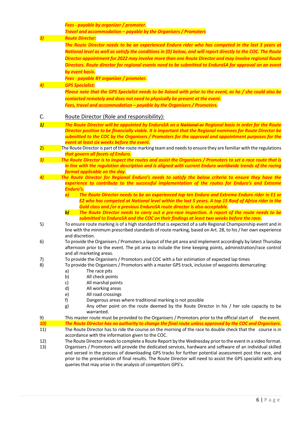|            | Fees - payable by organizer / promoter.                                                                                                                                                                                  |
|------------|--------------------------------------------------------------------------------------------------------------------------------------------------------------------------------------------------------------------------|
|            | Travel and accommodation - payable by the Organisers / Promoters                                                                                                                                                         |
|            | <b>Route Director:</b>                                                                                                                                                                                                   |
|            | The Route Director needs to be an experienced Enduro rider who has competed in the last 3 years at                                                                                                                       |
|            | National level as well as satisfy the conditions in (D) below, and will report directly to the COC. The Route                                                                                                            |
|            | Director appointment for 2022 may involve more than one Route Director and may involve regional Route                                                                                                                    |
|            | Directors. Route director for regional events need to be submitted to EnduroSA for approval on an event                                                                                                                  |
|            | by event basis.                                                                                                                                                                                                          |
|            | Fees - payable BY organizer / promoter.                                                                                                                                                                                  |
|            | <b>GPS Specialist:</b>                                                                                                                                                                                                   |
|            | Please note that the GPS Specialist needs to be liaised with prior to the event, as he / she could also be                                                                                                               |
|            | contacted remotely and does not need to physically be present at the event.                                                                                                                                              |
|            | Fees, travel and accommodation - payable by the Organisers / Promoters.                                                                                                                                                  |
| C.         | Route Director (Role and responsibility):                                                                                                                                                                                |
|            |                                                                                                                                                                                                                          |
| 1)         | The Route Director will be appointed by EnduroSA on a National or Regional basis in order for the Route<br>Director position to be financially viable. It is important that the Regional nominees for Route Director be  |
|            | submitted to the COC by the Organisers / Promoters for the approval and appointment purposes for the                                                                                                                     |
|            | event at least six weeks before the event.                                                                                                                                                                               |
| 2)         | The Route Director is part of the route marking team and needs to ensure they are familiar with the regulations                                                                                                          |
|            | that govern all facets of Enduro.                                                                                                                                                                                        |
| 3)         | The Route Director is to inspect the routes and assist the Organisers / Promoters to set a race route that is                                                                                                            |
|            | in line with the regulation description and is aligned with current Enduro worldwide trends of the racing                                                                                                                |
|            | format applicable on the day.<br>The Route Director for Regional Enduro's needs to satisfy the below criteria to ensure they have the                                                                                    |
|            | experience to contribute to the successful implementation of the routes for Enduro's and Extreme                                                                                                                         |
|            | Enduro's.                                                                                                                                                                                                                |
|            | a)<br>The Route Director needs to be an experienced top ten Enduro and Extreme Enduro rider in E1 or                                                                                                                     |
|            | E2 who has competed at National level within the last 5 years. A top 15 Roof of Africa rider in the                                                                                                                      |
|            | Gold class and /or a previous EnduroSA route director is also acceptable.                                                                                                                                                |
|            | $\bm{b}$<br>The Route Director needs to carry out a pre-race inspection. A report of the route needs to be                                                                                                               |
| 5)         | submitted to EnduroSA and the COC on their findings at least two weeks before the race.<br>To ensure route marking is of a high standard that is expected of a safe Regional Championship event and in                   |
|            | line with the minimum prescribed standards of route marking, based on Art. 28, to his / her own experience                                                                                                               |
|            | and discretion.                                                                                                                                                                                                          |
| 6)         | To provide the Organisers / Promoters a layout of the pit area and implement accordingly by latest Thursday                                                                                                              |
|            | afternoon prior to the event. The pit area to include the time keeping points, administration/race control                                                                                                               |
|            | and all marketing areas.                                                                                                                                                                                                 |
| 7)<br>8)   | To provide the Organisers / Promotors and COC with a fair estimation of expected lap times<br>To provide the Organisers / Promotors with a master GPS track, inclusive of waypoints demarcating:                         |
|            | The race pits<br>a)                                                                                                                                                                                                      |
|            | b)<br>All check points                                                                                                                                                                                                   |
|            | All marshal points<br>c)                                                                                                                                                                                                 |
|            | d)<br>All working areas                                                                                                                                                                                                  |
|            | All road crossings<br>e)                                                                                                                                                                                                 |
|            | f)<br>Dangerous areas where traditional marking is not possible<br>Any other point on the route deemed by the Route Director in his / her sole capacity to be                                                            |
|            | g)<br>warranted.                                                                                                                                                                                                         |
| 9)         | This master route must be provided to the Organisers / Promotors prior to the official start of<br>the event.                                                                                                            |
| <b>10)</b> | The Route Director has no authority to change the final route unless approved by the COC and Organisers.                                                                                                                 |
| 11)        | The Route Director has to ride the course on the morning of the race to double check that the course is in                                                                                                               |
|            | accordance with the information given to the COC.                                                                                                                                                                        |
| 12)<br>13) | The Route Director needs to complete a Route Report by the Wednesday prior to the event in a video format.<br>Organisers / Promotors will provide the dedicated services, hardware and software of an individual skilled |
|            | and versed in the process of downloading GPS tracks for further potential assessment post the race, and                                                                                                                  |
|            | prior to the presentation of final results. The Route Director will need to assist the GPS specialist with any                                                                                                           |
|            | queries that may arise in the analysis of competitors GPS's.                                                                                                                                                             |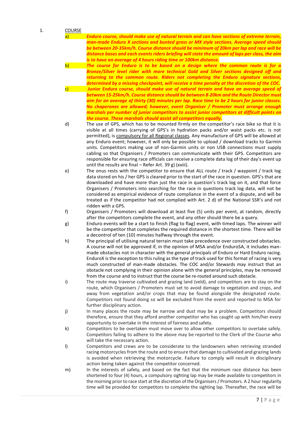#### 1. COURSE

a) *Enduro course, should make use of natural terrain and can have sections of extreme terrain, man-made Enduro X sections and bunted grass or MX style sections. Average speed should be between 20-35km/h. Course distance should be minimum of 20km per lap and race will be distance bases and each events riders briefing will state the amount of laps per class, the aim is to have an average of 4 hours riding time or 100km distance.*

- b) *The course for Enduro is to be based on a design where the common route is for a Bronze/Silver level rider with more technical Gold and Silver sections designed off and returning to the common route. Riders not completing the Enduro signature sections, determined by a missing checkpoint, will receive a time penalty at the discretion of the COC.*
- c) *Junior Enduro course, should make use of natural terrain and have an average speed of between 15-25km/h. Course distance should be between 8-20km and the Route Director must aim for an average of thirty (30) minutes per lap. Race time to be 2 hours for junior classes. No chaperones are allowed; however, event Organiser / Promoter must arrange enough marshals per number of junior competitors to assist junior competitors at difficult points on the course. These marshals should assist all competitors equally.*
- d) The use of GPS, which has to be mounted firmly on the competitor's race bike so that it is visible at all times (carrying of GPS's in hydration packs and/or waist packs etc. is not permitted), is compulsory for all Regional classes. Any manufacture of GPS will be allowed at any Enduro event; however, it will only be possible to upload / download tracks to Garmin units. Competitors making use of non-Garmin units or non USB connections must supply cabling so that Organisers / Promoters can communicate with their GPS. Competitors are responsible for ensuring race officials can receive a complete data log of their day's event up until the results are final – Refer Art. 39 g) (xxiii).
- e) The onus rests with the competitor to ensure that ALL route / track / waypoint / track log data stored on his / her GPS is cleared prior to the start of the race in question. GPS's that are downloaded and have more than just the race in question's track log on it, and that force Organisers / Promoters into searching for the race in questions track log data, will not be considered as empirical evidence of route compliance in the event of a dispute, and will be treated as if the competitor had not complied with Art. 2 d) of the National SSR's and not ridden with a GPS.
- f) Organisers / Promoters will download at least five (5) units per event, at random, directly after the competitors complete the event, and any other should there be a query.
- g) Enduro events will be a start to finish (flag to flag) event, with timed laps. The winner will be the competitor that completes the required distance in the shortest time. There will be a decontrol of ten (10) minutes halfway through the event.
- h) The principal of utilising natural terrain must take precedence over constructed obstacles. A course will not be approved if, in the opinion of MSA and/or EnduroSA, it includes manmade obstacles not in character with the general principals of Enduro or Hard Enduro racing. EnduroX is the exception to this ruling as the type of track used for this format of racing is very much constructed of man-made obstacles. The COC and/or Stewards may instruct that an obstacle not complying in their opinion alone with the general principles, may be removed from the course and to instruct that the course be re-routed around such obstacle.
- i) The route may traverse cultivated and grazing land (veld), and competitors are to stay on the route, which Organisers / Promoters must set to avoid damage to vegetation and crops, and away from vegetation and/or crops that may be found alongside the designated route. Competitors not found doing so will be excluded from the event and reported to MSA for further disciplinary action.
- j) In many places the route may be narrow and dust may be a problem. Competitors should therefore, ensure that they afford another competitor who has caught up with him/her every opportunity to overtake in the interest of fairness and safety.
- k) Competitors to be overtaken must move over to allow other competitors to overtake safely. Competitors failing to adhere to the above may be reported to the Clerk of the Course who will take the necessary action.
- l) Competitors and crews are to be considerate to the landowners when retrieving stranded racing motorcycles from the route and to ensure that damage to cultivated and grazing lands is avoided when retrieving the motorcycle. Failure to comply will result in disciplinary action being taken against the competitor concerned.
- m) In the interests of safety, and based on the fact that the minimum race distance has been shortened to four (4) hours, a compulsory sighting lap may be made available to competitors in the morning prior to race start at the discretion of the Organisers / Promoters. A 2 hour regularity time will be provided for competitors to complete the sighting lap. Thereafter, the race will be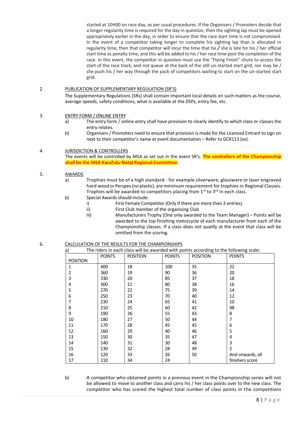started at 10H00 on race day, as per usual procedures. If the Organisers / Promoters decide that a longer regularity time is required for the day in question, then the sighting lap must be opened appropriately earlier in the day, in order to ensure that the race start time is not compromised. In the event of a competitor taking longer to complete his sighting lap than is allocated in regularity time, then that competitor will incur the time that he */* she is late for his / her official start time as penalty time, and this will be added to his / her race time post the completion of the race. In this event, the competitor in question must use the "Flying Finish" chute to access the start of the race track, and not queue at the back of the still un-started start grid, nor may he / she push his / her way through the pack of competitors waiting to start on the un-started start grid.

#### 2. PUBLICATION OF SUPPLEMENTARY REGULATION (SR'S)

The Supplementary Regulations (SRs) shall contain important local details on such matters as the course, average speeds, safety conditions, what is available at the DSPs, entry fee, etc.

#### 3. ENTRY FORM / ONLINE ENTRY

- a) The entry form / online entry shall have provision to clearly identify to which class or classes the entry relates.
- b) Organisers / Promoters need to ensure that provision is made for the Licenced Entrant to sign on next to their competitor's name at event documentation – Refer to GCR113 (xv).

#### 4. JURISDICTION & CONTROLLERS

The events will be controlled by MSA as set out in the event SR's. **The controllers of the Championship shall be the MSA KwaZulu-Natal Regional Committee.**

#### 5. AWARDS

- a) Trophies must be of a high standard for example silverware, glassware or laser engraved hard wood or Perspex (no plastic), are minimum requirement for trophies in Regional Classes. Trophies will be awarded to competitors placing from  $1<sup>st</sup>$  to  $3<sup>rd</sup>$  in each class.
- b) Special Awards should include:
	- i) First Female Competitor (Only if there are more than 3 entries)<br>ii) First Club member of the organising Club
	- First Club member of the organising Club
	- iii) Manufacturers Trophy (One only awarded to the Team Manager) Points will be awarded to the top finishing motorcycle of each manufacturer from each of the Championship classes. If a class does not qualify at the event that class will be omitted from the scoring.

#### 6. CALCULATION OF THE RESULTS FOR THE CHAMPIONSHIPS a) The riders in each class will be awarded with points according to the following scale:

| a)              |               | The Huers in each class will be awarded with politics according to the following scale. |               |                 |                  |
|-----------------|---------------|-----------------------------------------------------------------------------------------|---------------|-----------------|------------------|
|                 | <b>POINTS</b> | <b>POSITION</b>                                                                         | <b>POINTS</b> | <b>POSITION</b> | <b>POINTS</b>    |
| <b>POSITION</b> |               |                                                                                         |               |                 |                  |
| 1               | 400           | 18                                                                                      | 100           | 35              | 22               |
| 2               | 360           | 19                                                                                      | 90            | 36              | 20               |
| 3               | 330           | 20                                                                                      | 85            | 37              | 18               |
| 4               | 300           | 21                                                                                      | 80            | 38              | 16               |
| 5               | 270           | 22                                                                                      | 75            | 39              | 14               |
| 6               | 250           | 23                                                                                      | 70            | 40              | 12               |
| 7               | 230           | 24                                                                                      | 65            | 41              | 10               |
| 8               | 210           | 25                                                                                      | 60            | 42              | 98               |
| 9               | 190           | 26                                                                                      | 55            | 43              | 8                |
| 10              | 180           | 27                                                                                      | 50            | 44              | 7                |
| 11              | 170           | 28                                                                                      | 45            | 45              | 6                |
| 12              | 160           | 29                                                                                      | 40            | 46              | 5                |
| 13              | 150           | 30                                                                                      | 35            | 47              | 4                |
| 14              | 140           | 31                                                                                      | 30            | 48              | 3                |
| 15              | 130           | 32                                                                                      | 28            | 49              | $\overline{2}$   |
| 16              | 120           | 33                                                                                      | 26            | 50              | And onwards, all |
| 17              | 110           | 34                                                                                      | 24            |                 | finishers score  |

b) A competitor who obtained points in a previous event in the Championship series will not be allowed to move to another class and carry his / her class points over to the new class. The competitor who has scored the highest total number of class points in the competitions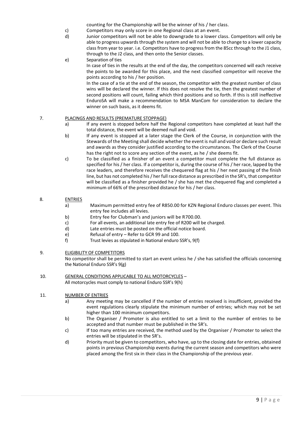counting for the Championship will be the winner of his / her class.

- c) Competitors may only score in one Regional class at an event.
- d) Junior competitors will not be able to downgrade to a lower class. Competitors will only be able to progress upwards through the system and will not be able to change to a lower capacity class from year to year. i.e. Competitors have to progress from the 85cc through to the J1 class, through to the J2 class, and then onto the Senior classes.
- e) Separation of ties

In case of ties in the results at the end of the day, the competitors concerned will each receive the points to be awarded for this place, and the next classified competitor will receive the points according to his / her position.

In the case of a tie at the end of the season, the competitor with the greatest number of class wins will be declared the winner. If this does not resolve the tie, then the greatest number of second positions will count, failing which third positions and so forth. If this is still ineffective EnduroSA will make a recommendation to MSA ManCom for consideration to declare the winner on such basis, as it deems fit.

#### 7. PLACINGS AND RESULTS (PREMATURE STOPPAGE)

- a) If any event is stopped before half the Regional competitors have completed at least half the total distance, the event will be deemed null and void.
- b) If any event is stopped at a later stage the Clerk of the Course, in conjunction with the Stewards of the Meeting shall decide whether the event is null and void or declare such result and awards as they consider justified according to the circumstances. The Clerk of the Course has the right not to score any section of the event, as he / she deems fit.
- c) To be classified as a finisher of an event a competitor must complete the full distance as specified for his / her class. If a competitor is, during the course of his / her race, lapped by the race leaders, and therefore receives the chequered flag at his / her next passing of the finish line, but has not completed his / her full race distance as prescribed in the SR's, that competitor will be classified as a finisher provided he / she has met the chequered flag and completed a minimum of 66% of the prescribed distance for his / her class.

# 8. ENTRIES

- a) Maximum permitted entry fee of R850.00 for KZN Regional Enduro classes per event. This entry fee includes all levies.
- b) Entry fee for Clubman's and juniors will be R700.00.
- c) For all events, an additional late entry fee of R200 will be charged.
- d) Late entries must be posted on the official notice board.
- e) Refusal of entry Refer to GCR 99 and 100.
- f) Trust levies as stipulated in National enduro SSR's, 9(f)

#### 9. ELIGIBILITY OF COMPETITORS

No competitor shall be permitted to start an event unless he / she has satisfied the officials concerning the National Enduro SSR's 9(g)

10. GENERAL CONDITIONS APPLICABLE TO ALL MOTORCYCLES – All motorcycles must comply to national Enduro SSR's 9(h)

#### 11. NUMBER OF ENTRIES

- a) Any meeting may be cancelled if the number of entries received is insufficient, provided the event regulations clearly stipulate the minimum number of entries; which may not be set higher than 100 minimum competitors.
- b) The Organiser / Promoter is also entitled to set a limit to the number of entries to be accepted and that number must be published in the SR's.
- c) If too many entries are received, the method used by the Organiser / Promoter to select the entries will be stipulated in the SR's.
- d) Priority must be given to competitors, who have, up to the closing date for entries, obtained points in previous Championship events during the current season and competitors who were placed among the first six in their class in the Championship of the previous year.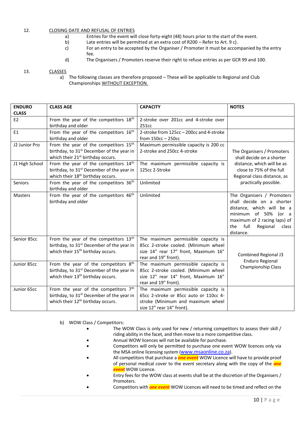# 12. CLOSING DATE AND REFUSAL OF ENTRIES

- a) Entries for the event will close forty-eight (48) hours prior to the start of the event.<br>b) Late entries will be permitted at an extra cost of R200 Refer to Art. 9 c).
	- Late entries will be permitted at an extra cost of R200 Refer to Art. 9 c).
- c) For an entry to be accepted by the Organiser / Promoter it must be accompanied by the entry fee.
- d) The Organisers / Promoters reserve their right to refuse entries as per GCR 99 and 100.

13. CLASSES

a) The following classes are therefore proposed – These will be applicable to Regional and Club Championships WITHOUT EXCEPTION.

| <b>ENDURO</b><br><b>CLASS</b> | <b>CLASS AGE</b>                                                                                                                                            | <b>CAPACITY</b>                                                                                                                                 | <b>NOTES</b>                                                                                                                                                                               |  |
|-------------------------------|-------------------------------------------------------------------------------------------------------------------------------------------------------------|-------------------------------------------------------------------------------------------------------------------------------------------------|--------------------------------------------------------------------------------------------------------------------------------------------------------------------------------------------|--|
| E <sub>2</sub>                | From the year of the competitors 18 <sup>th</sup><br>birthday and older                                                                                     | 2-stroke over 201cc and 4-stroke over<br>251cc                                                                                                  |                                                                                                                                                                                            |  |
| E <sub>1</sub>                | From the year of the competitors 16 <sup>th</sup><br>birthday and older                                                                                     | 2-stroke from 125cc - 200cc and 4-stroke<br>from $150cc - 250cc$                                                                                |                                                                                                                                                                                            |  |
| J2 Junior Pro                 | From the year of the competitors 15 <sup>th</sup><br>birthday, to 31 <sup>st</sup> December of the year in<br>which their 21 <sup>st</sup> birthday occurs. | Maximum permissible capacity is 200 cc<br>2-stroke and 250cc 4-stroke                                                                           | The Organisers / Promoters<br>shall decide on a shorter<br>distance, which will be as<br>close to 75% of the full<br>Regional class distance, as<br>practically possible.                  |  |
| J1 High School                | From the year of the competitors 14th<br>birthday, to 31 <sup>st</sup> December of the year in<br>which their 18 <sup>th</sup> birthday occurs.             | The maximum permissible capacity is<br>125cc 2-Stroke                                                                                           |                                                                                                                                                                                            |  |
| Seniors                       | From the year of the competitors 36 <sup>th</sup><br>birthday and older                                                                                     | Unlimited                                                                                                                                       |                                                                                                                                                                                            |  |
| Masters                       | From the year of the competitors 46 <sup>th</sup><br>birthday and older                                                                                     | Unlimited                                                                                                                                       | The Organisers / Promoters<br>shall decide on a shorter<br>distance, which will be a<br>minimum of 50% (or a<br>maximum of 2 racing laps) of<br>the full<br>Regional<br>class<br>distance. |  |
| Senior 85cc                   | From the year of the competitors 13 <sup>th</sup><br>birthday, to 31 <sup>st</sup> December of the year in<br>which their 15 <sup>th</sup> birthday occurs. | The maximum permissible capacity is<br>85cc 2-stroke cooled. (Minimum wheel<br>size 14" rear 17" front, Maximum 16"<br>rear and 19" front).     | <b>Combined Regional J3</b><br><b>Enduro Regional</b><br>Championship Class                                                                                                                |  |
| Junior 85cc                   | From the year of the competitors 8 <sup>th</sup><br>birthday, to 31 <sup>st</sup> December of the year in<br>which their 13 <sup>th</sup> birthday occurs.  | The maximum permissible capacity is<br>85cc 2-stroke cooled. (Minimum wheel<br>size 12" rear 14" front, Maximum 16"<br>rear and 19" front).     |                                                                                                                                                                                            |  |
| Junior 65cc                   | From the year of the competitors $7th$<br>birthday, to 31 <sup>st</sup> December of the year in<br>which their 12 <sup>th</sup> birthday occurs.            | The maximum permissible capacity is<br>65cc 2-stroke or 85cc auto or 110cc 4-<br>stroke (Minimum and maximum wheel<br>size 12" rear 14" front). |                                                                                                                                                                                            |  |

b) WOW Class / Competitors:

- The WOW Class is only used for new / returning competitors to assess their skill / riding ability in the facet, and then move to a more competitive class.
- Annual WOW licences will not be available for purchase.
- Competitors will only be permitted to purchase one event WOW licences only via the MSA online licensing system ([www.msaonline.co.za](http://www.msaonline.co.za/)).
- All competitors that purchase a *one event* WOW Licence will have to provide proof of personal medical cover to the event secretary along with the copy of the *one event* WOW Licence.
- Entry fees for the WOW class at events shall be at the discretion of the Organisers / Promoters.
- Competitors with *one event* WOW Licences will need to be timed and reflect on the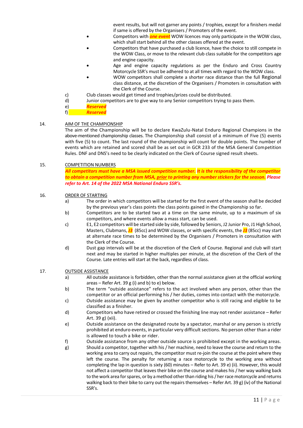event results, but will not garner any points / trophies, except for a finishers medal if same is offered by the Organisers / Promoters of the event.

- Competitors with *one event* WOW licences may only participate in the WOW class, which shall start behind all the other classes offered at the event.
- Competitors that have purchased a club licence, have the choice to still compete in the WOW Class, or move to the relevant club class suitable for the competitors age and engine capacity.
- Age and engine capacity regulations as per the Enduro and Cross Country Motorcycle SSR's must be adhered to at all times with regard to the WOW class.
- WOW competitors shall complete a shorter race distance than the full Regional class distance, at the discretion of the Organisers / Promoters in consultation with the Clerk of the Course.
- c) Club classes would get timed and trophies/prizes could be distributed.
- d) Junior competitors are to give way to any Senior competitors trying to pass them.
- e) *Reserved*
- f) *Reserved*

#### 14. AIM OF THE CHAMPIONSHIP

The aim of the Championship will be to declare KwaZulu-Natal Enduro Regional Champions in the above-mentioned championship classes. The Championship shall consist of a minimum of Five (5) events with five (5) to count. The last round of the championship will count for double points. The number of events which are retained and scored shall be as set out in GCR 233 of the MSA General Competition Rules. DNF and DNS's need to be clearly indicated on the Clerk of Course signed result sheets.

#### 15. COMPETITION NUMBERS

*All competitors must have a MSA issued competition number. It is the responsibility of the competitor to obtain a competition number from MSA, prior to printing any number stickers for the season. Please refer to Art. 14 of the 2022 MSA National Enduro SSR's.*

#### 16. ORDER OF STARTING

- a) The order in which competitors will be started for the first event of the season shall be decided by the previous year's class points the class points gained in the Championship so far.
- b) Competitors are to be started two at a time on the same minute, up to a maximum of six competitors, and where events allow a mass start, can be used.
- c) E1, E2 competitors will be started side by side, followed by Seniors, J2 Junior Pro, J1 High School, Masters, Clubmans, *J3* (85cc) and WOW classes, or with specific events, the *J3* (85cc) may start at alternate race times to be determined by the Organisers / Promoters in consultation with the Clerk of the Course.
- d) Dust gap intervals will be at the discretion of the Clerk of Course. Regional and club will start next and may be started in higher multiples per minute, at the discretion of the Clerk of the Course. Late entries will start at the back, regardless of class.

#### 17. OUTSIDE ASSISTANCE

- a) All outside assistance is forbidden, other than the normal assistance given at the official working areas – Refer Art. 39 g (i) and b) to e) below.
- b) The term "outside assistance" refers to the act involved when any person, other than the competitor or an official performing his / her duties, comes into contact with the motorcycle.
- c) Outside assistance may be given by another competitor who is still racing and eligible to be classified as a finisher.
- d) Competitors who have retired or crossed the finishing line may not render assistance Refer Art. 39 g) (xii).
- e) Outside assistance on the designated route by a spectator, marshal or any person is strictly prohibited at enduro events, in particular very difficult sections. No person other than a rider is allowed to touch a bike or rider.
- f) Outside assistance from any other outside source is prohibited except in the working areas.
- g) Should a competitor, together with his / her machine, need to leave the course and return to the working area to carry out repairs, the competitor must re-join the course at the point where they left the course. The penalty for returning a race motorcycle to the working area without completing the lap in question is sixty (60) minutes – Refer to Art. 39 e) (ii). However, this would not affect a competitor that leaves their bike on the course and makes his / her way walking back to the work area for spares, or by a method other than riding his/ her race motorcycle and returns walking back to their bike to carry out the repairs themselves – Refer Art. 39 g) (iv) of the National SSR's.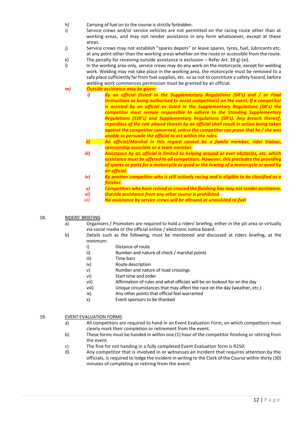- h) Carrying of fuel on to the course is strictly forbidden.<br>i) Service crews and/or service vehicles are not peri-
- Service crews and/or service vehicles are not permitted on the racing route other than at working areas, and may not render assistance in any form whatsoever, except at these areas.
- j) Service crews may not establish "spares depots" or leave spares, tyres, fuel, lubricants etc. at any point other than the working areas whether on the route or accessible from the route.
- k) The penalty for receiving outside assistance is exclusion Refer Art. 39 g) (xi).
- l) In the working area only, service crews may do any work on the motorcycle, except for welding work. Welding may not take place in the working area, the motorcycle must be removed to a safe place sufficiently far from fuel supplies, etc. so as not to constitute a safety hazard, before welding work commences permission must be granted by an official.
- *m) Outside assistance may be given:* 
	- *i*) *By an official (listed in the Supplementary Regulations (SR's) and / or Final Instructions as being authorised to assist competitors) on the event. If a competitor is assisted by an official as listed in the Supplementary Regulations (SR's) the competitor must remain responsible to adhere to the Standing Supplementary Regulations (SSR's) and Supplementary Regulations (SR's). Any breach thereof, regardless of the role played therein by an official shall result in action being taken against the competitor concerned, unless the competitor can prove that he / she was unable to persuade the official to act within the rules.*
	- *ii) An official/Marshal in this regard cannot be a family member, rider trainer, sponsorship associate or a team member.*
	- *iii) Assistance by an official is limited to helping around or over obstacles, etc. which assistance must be offered to all competitors. However, this precludes the providing of spares or parts for a motorcycle or quad or the towing of a motorcycle or quad by an official.*
	- *iv) By another competitor who is still actively racing and is eligible to be classified as a finisher.*
	- *v) Competitors who have retired or crossed the finishing line may not render assistance.*
	- *vi) Outside assistance from any other source is prohibited*
	- *vii) No assistance by service crews will be allowed at unassisted re-fuel*
- 18. RIDERS' BRIEFING
	- a) Organisers / Promoters are required to hold a riders' briefing, either in the pit area or virtually via social media or the official online / electronic notice board.
	- b) Details such as the following, must be mentioned and discussed at riders briefing, at the minimum:<br>i)
		- i) Distance of route<br>ii) Number and natu
		- Number and nature of check / marshal points
		- iii) Time bars<br>iv) Route des
		- iv) Route description<br>
		v) Number and nature
		- Number and nature of road crossings
		- vi) Start time and order
		- vii) Affirmation of rules and what officials will be on lookout for on the day
		- viii) Unique circumstances that may affect the race on the day (weather, etc.)
		- ix) Any other points that official feel warranted
		- x) Event sponsors to be thanked

#### 19. EVENT EVALUATION FORMS

- a) All competitors are required to hand in an Event Evaluation Form, on which competitors must clearly mark their completion or retirement from the event.
- b) These forms must be handed in within one (1) hour of the competitor finishing or retiring from the event.
- c) The fine for not handing in a fully completed Event Evaluation form is R250.
- d) Any competitor that is involved in or witnesses an incident that requires attention by the officials, is required to lodge the incident in writing to the Clerk of the Course within thirty (30) minutes of completing or retiring from the event.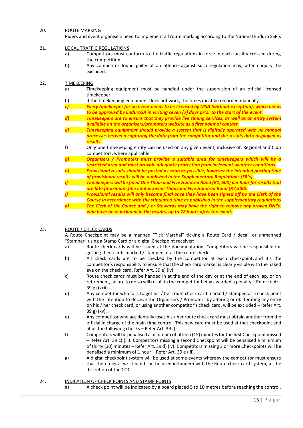#### 20. ROUTE MARKING

Riders and event organisers need to implement all route marking according to the National Enduro SSR's

### 21. LOCAL TRAFFIC REGULATIONS

- a) Competitors must conform to the traffic regulations in force in each locality crossed during the competition.
- b) Any competitor found guilty of an offence against such regulation may, after enquiry, be excluded.

#### 22. TIMEKEEPING

- a) Timekeeping equipment must be handled under the supervision of an official licensed timekeeper.
- b) If the timekeeping equipment does not work, the times must be recorded manually.
- *c) Every timekeeper for an event needs to be licensed by MSA (without exception), which needs to be approved by EnduroSA in writing seven (7) days prior to the start of the event.*
- *d) Timekeepers are to ensure that they provide live timing services, as well as an entry system available on the organisers/promoters website as a first point of contact.*
- *e) Timekeeping equipment should provide a system that is digitally operated with no manual processes between capturing the data from the competitor and the results data displayed as results.*
- f) Only one timekeeping entity can be used on any given event, inclusive of, Regional and Club competitors, where applicable.
- *g) Organisers / Promoters must provide a suitable area for timekeepers which will be a restricted area and must provide adequate protection from inclement weather conditions.*
- *h) Provisional results should be posted as soon as possible, however the intended posting time of provisional results will be published in the Supplementary Regulations (SR's).*
- *i) Timekeepers will be fined One Thousand Five Hundred Rand (R1, 500) per hour for results that are late (maximum fine limit is Seven Thousand Five Hundred Rand (R7,500).*

*Provisional results will only become final once they have been signed off by the Clerk of the Course in accordance with the stipulated time as published in the supplementary regulations k) The Clerk of the Course and / or Stewards may have the right to remove any proven DNFs, who have been included in the results, up to 72 hours after the event.* 

#### 23. ROUTE / CHECK CARDS

A Route Checkpoint may be a manned "Tick Marshal" ticking a Route Card / decal, or unmanned "Stamper" using a Stamp Card or a digital Checkpoint receiver:

- a) Route check cards will be issued at the documentation. Competitors will be responsible for getting their cards marked / stamped at all the route checks.
- b) All check cards are to be checked by the competitor at each checkpoint, and it's the competitor's responsibility to ensure that the check card marker is clearly visible with the naked eye on the check card. Refer Art. 39 e) (iv)
- c) Route check cards must be handed in at the end of the day or at the end of each lap, or on retirement, failure to do so will result in the competitor being awarded a penalty – Refer to Art. 39 g) (xxii)
- d) Any competitor who fails to get his / her route check card marked / stamped at a check point with the intention to deceive the Organisers / Promoters by altering or obliterating any entry on his / her check card, or using another competitor's check card, will be excluded – Refer Art. 39 g) (xv).
- e) Any competitor who accidentally loses his / her route check card must obtain another from the official in charge of the main time control. This new card must be used at that checkpoint and at all the following checks – Refer Art. 39 f)
- f) Competitors will be penalised a minimum of fifteen (15) minutes for the first Checkpoint missed – Refer Art. 39 c) (iii). Competitors missing a second Checkpoint will be penalised a minimum of thirty (30) minutes – Refer Art. 39 d) (iv). Competitors missing 3 or more Checkpoints will be penalised a minimum of 1 hour – Refer Art. 39 e (iii).
- g) A digital checkpoint system will be used at some events whereby the competitor must ensure that there digital wrist band can be used in tandem with the Route check card system, at the discretion of the COC

#### 24. INDICATION OF CHECK POINTS AND STAMP POINTS

a) A check point will be indicated by a board placed 5 to 10 metres before reaching the control.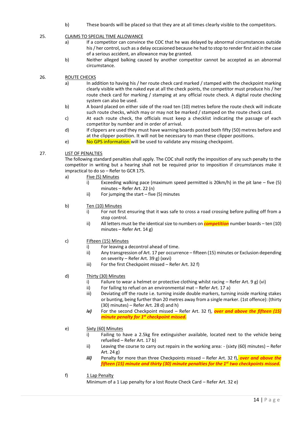b) These boards will be placed so that they are at all times clearly visible to the competitors.

# 25. CLAIMS TO SPECIAL TIME ALLOWANCE

- a) If a competitor can convince the COC that he was delayed by abnormal circumstances outside his / her control, such as a delay occasioned because he had to stop to render first aid in the case of a serious accident, an allowance may be granted.
- b) Neither alleged balking caused by another competitor cannot be accepted as an abnormal circumstance.

#### 26. ROUTE CHECKS

- a) In addition to having his / her route check card marked / stamped with the checkpoint marking clearly visible with the naked eye at all the check points, the competitor must produce his / her route check card for marking / stamping at any official route check. A digital route checking system can also be used.
- b) A board placed on either side of the road ten (10) metres before the route check will indicate such route checks, which may or may not be marked / stamped on the route check card.
- c) At each route check, the officials must keep a checklist indicating the passage of each competitor by number and in order of arrival.
- d) If clippers are used they must have warning boards posted both fifty (50) metres before and at the clipper position. It will not be necessary to man these clipper positions.
- e) No GPS information will be used to validate any missing checkpoint.

# 27. LIST OF PENALTIES

The following standard penalties shall apply. The COC shall notify the imposition of any such penalty to the competitor in writing but a hearing shall not be required prior to imposition if circumstances make it impractical to do so – Refer to GCR 175.

- a) Five (5) Minutes
	- i) Exceeding walking pace (maximum speed permitted is 20km/h) in the pit lane five (5) minutes – Refer Art. 22 (n)
	- ii) For jumping the start five (5) minutes

### b) Ten (10) Minutes

- i) For not first ensuring that it was safe to cross a road crossing before pulling off from a stop control.
- ii) All letters must be the identical size to numbers on *competition* number boards ten (10) minutes – Refer Art. 14 g)
- c) Fifteen (15) Minutes
	- i) For leaving a decontrol ahead of time.<br>ii) Any transgression of Art. 17 per occurre
	- Any transgression of Art. 17 per occurrence fifteen (15) minutes or Exclusion depending on severity – Refer Art. 39 g) (xxvi)
	- iii) For the first Checkpoint missed Refer Art. 32 f)
- d) Thirty (30) Minutes
	- i) Failure to wear a helmet or protective clothing whilst racing Refer Art. 9 g) (vi)<br>ii) For failing to refuel on an environmental mat Refer Art. 17 a)
	- For failing to refuel on an environmental mat Refer Art. 17 a)
	- iii) Deviating off the route i.e. turning inside double markers, turning inside marking stakes or bunting, being further than 20 metres away from a single marker. (1st offence): (thirty (30) minutes) – Refer Art. 28 d) and h)
	- *iv)* For the second Checkpoint missed Refer Art. 32 f), *over and above the fifteen (15) minute penalty for 1st checkpoint missed.*
- e) Sixty (60) Minutes
	- i) Failing to have a 2.5kg fire extinguisher available, located next to the vehicle being refuelled – Refer Art. 17 b)
	- ii) Leaving the course to carry out repairs in the working area: (sixty (60) minutes) Refer Art. 24 g)
	- *iii)* Penalty for more than three Checkpoints missed Refer Art. 32 f), *over and above the fifteen (15) minute and thirty (30) minute penalties for the 1st two checkpoints missed.*

# f) 1 Lap Penalty

Minimum of a 1 Lap penalty for a lost Route Check Card – Refer Art. 32 e)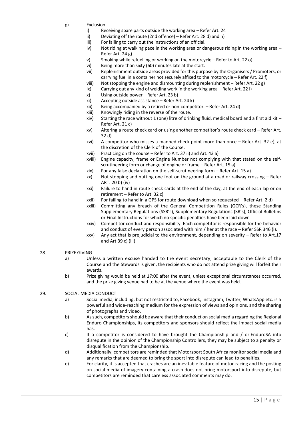- g) Exclusion<br>i) Re
	- Receiving spare parts outside the working area Refer Art. 24
	- ii) Deviating off the route (2nd offence) Refer Art. 28 d) and h)<br>iii) For failing to carry out the instructions of an official.
	- For failing to carry out the instructions of an official.
	- iv) Not riding at walking pace in the working area or dangerous riding in the working area -Refer Art. 24 g)
	- v) Smoking while refuelling or working on the motorcycle Refer to Art. 22 o)
	- vi) Being more than sixty (60) minutes late at the start.
	- vii) Replenishment outside areas provided for this purpose by the Organisers / Promoters, or carrying fuel in a container not securely affixed to the motorcycle – Refer Art. 22 f)
	- viii) Not stopping the engine and dismounting during replenishment Refer Art. 22 g)
	- ix) Carrying out any kind of welding work in the working area Refer Art. 22 i)
	- x) Using outside power Refer Art. 23 b)
	- xi) Accepting outside assistance Refer Art. 24 k)
	- xii) Being accompanied by a retired or non-competitor. Refer Art. 24 d)
	- xiii) Knowingly riding in the reverse of the route.
	- xiv) Starting the race without 1 (one) litre of drinking fluid, medical board and a first aid kit Refer Art. 21 c)
	- xv) Altering a route check card or using another competitor's route check card Refer Art. 32 d)
	- xvi) A competitor who misses a manned check point more than once Refer Art. 32 e), at the discretion of the Clerk of the Course.
	- xvii) Practicing on the course Refer to Art. 37 ii) and Art. 43 a)
	- xviii) Engine capacity, frame or Engine Number not complying with that stated on the selfscrutineering form or change of engine or frame – Refer Art. 15 a)
	- xix) For any false declaration on the self-scrutineering form Refer Art. 15 a)
	- xx) Not stopping and putting one foot on the ground at a road or railway crossing Refer ART. 20 b) (iv)
	- xxi) Failure to hand in route check cards at the end of the day, at the end of each lap or on retirement – Refer to Art. 32 c)
	- xxii) For failing to hand in a GPS for route download when so requested Refer Art. 2 d)
	- xxiii) Committing any breach of the General Competition Rules (GCR's), these Standing Supplementary Regulations (SSR's), Supplementary Regulations (SR's), Official Bulletins or Final Instructions for which no specific penalties have been laid down
	- xxiv) Competitor conduct and responsibility. Each competitor is responsible for the behavior and conduct of every person associated with him / her at the race – Refer SSR 346 (i).
	- xxv) Any act that is prejudicial to the environment, depending on severity Refer to Art.17 and Art 39 c) (iii)

# 28. PRIZE GIVING

- a) Unless a written excuse handed to the event secretary, acceptable to the Clerk of the Course and the Stewards is given, the recipients who do not attend prize giving will forfeit their awards.
- b) Prize giving would be held at 17:00 after the event, unless exceptional circumstances occurred, and the prize giving venue had to be at the venue where the event was held.

# 29. SOCIAL MEDIA CONDUCT

- a) Social media, including, but not restricted to, Facebook, Instagram, Twitter, WhatsApp etc. is a powerful and wide-reaching medium for the expression of views and opinions, and the sharing of photographs and video.
- b) As such, competitors should be aware that their conduct on social media regarding the Regional Enduro Championships, its competitors and sponsors should reflect the impact social media has.
- c) If a competitor is considered to have brought the Championship and / or EnduroSA into disrepute in the opinion of the Championship Controllers, they may be subject to a penalty or disqualification from the Championship.
- d) Additionally, competitors are reminded that Motorsport South Africa monitor social media and any remarks that are deemed to bring the sport into disrepute can lead to penalties.
- e) For clarity, it is accepted that crashes are an inevitable feature of motor-racing and the posting on social media of imagery containing a crash does not bring motorsport into disrepute, but competitors are reminded that careless associated comments may do.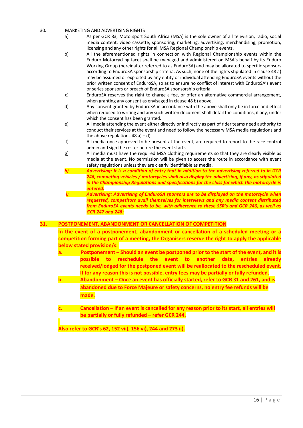# 30. MARKETING AND ADVERTISING RIGHTS

- a) As per GCR 83, Motorsport South Africa (MSA) is the sole owner of all television, radio, social media content, video cassette, sponsoring, marketing, advertising, merchandising, promotion, licensing and any other rights for all MSA Regional Championship events.
- b) All the aforementioned rights in connection with Regional Championship events within the Enduro Motorcycling facet shall be managed and administered on MSA's behalf by its Enduro Working Group (hereinafter referred to as EnduroSA) and may be allocated to specific sponsors according to EnduroSA sponsorship criteria. As such, none of the rights stipulated in clause 48 a) may be assumed or exploited by any entity or individual attending EnduroSA events without the prior written consent of EnduroSA, so as to ensure no conflict of interest with EnduroSA's event or series sponsors or breach of EnduroSA sponsorship criteria.
- c) EnduroSA reserves the right to charge a fee, or offer an alternative commercial arrangement, when granting any consent as envisaged in clause 48 b) above.
- d) Any consent granted by EnduroSA in accordance with the above shall only be in force and effect when reduced to writing and any such written document shall detail the conditions, if any, under which the consent has been granted.
- e) All media attending the event either directly or indirectly as part of rider teams need authority to conduct their services at the event and need to follow the necessary MSA media regulations and the above regulations  $48$  a) – d).
- f) All media once approved to be present at the event, are required to report to the race control admin and sign the roster before the event starts.
- g) All media must have the required MSA clothing requirements so that they are clearly visible as media at the event. No permission will be given to access the route in accordance with event safety regulations unless they are clearly identifiable as media.
- *h) Advertising: It is a condition of entry that in addition to the advertising referred to in GCR 246, competing vehicles / motorcycles shall also display the advertising, if any, as stipulated in the Championship Regulations and specifications for the class for which the motorcycle is entered.*
- *i) Advertising: Advertising of EnduroSA sponsors are to be displayed on the motorcycle when requested, competitors avail themselves for interviews and any media content distributed from EnduroSA events needs to be, with adherence to these SSR's and GCR 246, as well as GCR 247 and 248:*

# **31. POSTPONEMENT, ABANDONMENT OR CANCELLATION OF COMPETITION**

**In the event of a postponement, abandonment or cancellation of a scheduled meeting or a competition forming part of a meeting, the Organisers reserve the right to apply the applicable below stated provision/s:**

- **a. Postponement – Should an event be postponed prior to the start of the event, and it is possible to reschedule the event to another date, entries already received/lodged for the postponed event will be reallocated to the rescheduled event. If for any reason this is not possible, entry fees may be partially or fully refunded.**
- **b. Abandonment – Once an event has officially started, refer to GCR 31 and 261, and is abandoned due to Force Majeure or safety concerns, no entry fee refunds will be made.**
- **c. Cancellation – If an event is cancelled for any reason prior to its start, all entries will be partially or fully refunded – refer GCR 244.**

**Also refer to GCR's 62, 152 vii), 156 vi), 244 and 273 ii).**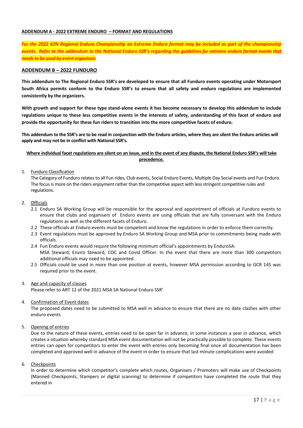#### **ADDENDUM A - 2022 EXTREME ENDURO – FORMAT AND REGULATIONS**

*For the 2022 KZN Regional Enduro Championship an Extreme Enduro format may be included as part of the championship events. Refer to the addendum to the National Enduro SSR's regarding the guidelines for extreme enduro format events that needs to be used by event organisers*

#### **ADDENDUM B – 2022 FUNDURO**

**This addendum to The Regional Enduro SSR's are developed to ensure that all Funduro events operating under Motorsport South Africa permits conform to the Enduro SSR's to ensure that all safety and enduro regulations are implemented consistently by the organizers.**

**With growth and support for these type stand-alone events it has become necessary to develop this addendum to include regulations unique to these less competitive events in the interests of safety, understanding of this facet of enduro and provide the opportunity for these fun riders to transition into the more competitive facets of enduro.**

**This addendum to the SSR's are to be read in conjunction with the Enduro articles, where they are silent the Enduro articles will apply and may not be in conflict with National SSR's.**

**Where individual facet regulations are silent on an issue, and in the event of any dispute, the National Enduro SSR's will take precedence.**

#### 1. Funduro Classification

The Category of Funduro relates to all Fun rides, Club events, Social Enduro Events, Multiple Day Social events and Fun Enduro. The focus is more on the riders enjoyment rather than the competitive aspect with less stringent competitive rules and regulations.

- 2. Officials
	- 2.1 Enduro SA Working Group will be responsible for the approval and appointment of officials at Funduro events to ensure that clubs and organisers of Enduro events are using officials that are fully conversant with the Enduro regulations as well as the different facets of Enduro.
	- 2.2 These officials at Enduro events must be competent and know the regulations in order to enforce them correctly.
	- 2.3 Event regulations must be approved by Enduro SA Working Group and MSA prior to commitments being made with officials.
	- 2.4 Fun Enduro events would require the following minimum official's appointments by EnduroSA: MSA Steward, Enviro Steward, COC and Covid Officer. In the event that there are more than 300 competitors additional officials may need to be appointed.
	- 2.5 Officials could be used in more than one position at events, however MSA permission according to GCR 145 was required prior to the event.
- 3. Age and capacity of classes

Please refer to ART 12 of the 2021 MSA SA National Enduro SSR'

4. Confirmation of Event dates

The proposed dates need to be submitted to MSA well in advance to ensure that there are no date clashes with other enduro events

5. Opening of entries

Due to the nature of these events, entries need to be open far in advance, in some instances a year in advance, which creates a situation whereby standard MSA event documentation will not be practically possible to complete. These events entries can open for competitors to enter the event with entries only becoming final once all documentation has been completed and approved well in advance of the event in order to ensure that last minute complications were avoided

6. Checkpoints

In order to determine which competitor's complete which routes, Organisers / Promoters will make use of Checkpoints (Manned Checkpoints, Stampers or digital scanning) to determine if competitors have completed the route that they entered in